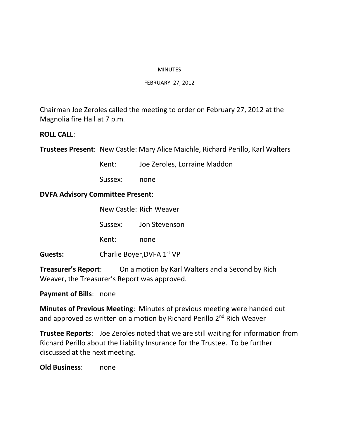#### MINUTES

#### FEBRUARY 27, 2012

Chairman Joe Zeroles called the meeting to order on February 27, 2012 at the Magnolia fire Hall at 7 p.m.

# **ROLL CALL**:

**Trustees Present**: New Castle: Mary Alice Maichle, Richard Perillo, Karl Walters

Kent: Joe Zeroles, Lorraine Maddon

Sussex: none

# **DVFA Advisory Committee Present**:

|         | New Castle: Rich Weaver |                            |  |
|---------|-------------------------|----------------------------|--|
|         | Sussex:                 | Jon Stevenson              |  |
|         | Kent:                   | none                       |  |
| Guests: |                         | Charlie Boyer, DVFA 1st VP |  |

**Treasurer's Report**: On a motion by Karl Walters and a Second by Rich Weaver, the Treasurer's Report was approved.

### **Payment of Bills**: none

**Minutes of Previous Meeting**: Minutes of previous meeting were handed out and approved as written on a motion by Richard Perillo 2<sup>nd</sup> Rich Weaver

**Trustee Reports**: Joe Zeroles noted that we are still waiting for information from Richard Perillo about the Liability Insurance for the Trustee. To be further discussed at the next meeting.

**Old Business**: none